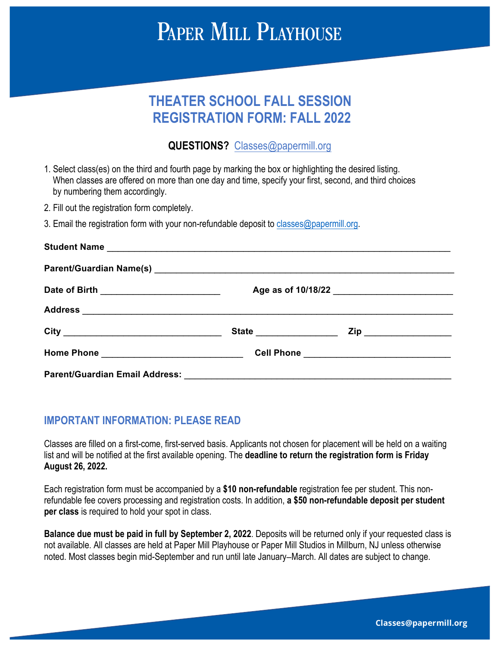# **THEATER SCHOOL FALL SESSION REGISTRATION FORM: FALL 2022**

# **QUESTIONS?** Classes@papermill.org

- 1. Select class(es) on the third and fourth page by marking the box or highlighting the desired listing. When classes are offered on more than one day and time, specify your first, second, and third choices by numbering them accordingly.
- 2. Fill out the registration form completely.
- 3. Email the registration form with your non-refundable deposit to classes@papermill.org.

| Student Name                                                                                                   |  |                           |  |
|----------------------------------------------------------------------------------------------------------------|--|---------------------------|--|
|                                                                                                                |  |                           |  |
| Date of Birth ____________________________                                                                     |  |                           |  |
|                                                                                                                |  |                           |  |
|                                                                                                                |  | Zip _____________________ |  |
| Home Phone 2008 2009 2010 2020 2020 2020 2021 2022 2021 2021 2022 2021 2022 2023 2024 2022 2023 2024 2022 2023 |  |                           |  |
|                                                                                                                |  |                           |  |

# **IMPORTANT INFORMATION: PLEASE READ**

Classes are filled on a first-come, first-served basis. Applicants not chosen for placement will be held on a waiting list and will be notified at the first available opening. The **deadline to return the registration form is Friday August 26, 2022.**

Each registration form must be accompanied by a **\$10 non-refundable** registration fee per student. This nonrefundable fee covers processing and registration costs. In addition, **a \$50 non-refundable deposit per student per class** is required to hold your spot in class.

**Balance due must be paid in full by September 2, 2022**. Deposits will be returned only if your requested class is not available. All classes are held at Paper Mill Playhouse or Paper Mill Studios in Millburn, NJ unless otherwise noted. Most classes begin mid-September and run until late January–March. All dates are subject to change.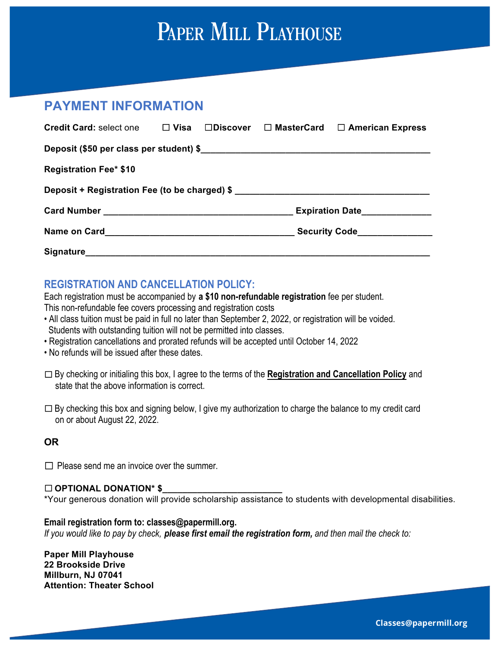# **PAYMENT INFORMATION**

| <b>Credit Card: select one</b> | $\Box$ Visa |                        |  | $\Box$ Discover $\Box$ MasterCard $\Box$ American Express |  |  |
|--------------------------------|-------------|------------------------|--|-----------------------------------------------------------|--|--|
|                                |             |                        |  |                                                           |  |  |
| <b>Registration Fee* \$10</b>  |             |                        |  |                                                           |  |  |
|                                |             |                        |  |                                                           |  |  |
|                                |             | <b>Expiration Date</b> |  |                                                           |  |  |
|                                |             |                        |  |                                                           |  |  |
|                                |             |                        |  |                                                           |  |  |

# **REGISTRATION AND CANCELLATION POLICY:**

Each registration must be accompanied by **a \$10 non-refundable registration** fee per student.

This non-refundable fee covers processing and registration costs

- All class tuition must be paid in full no later than September 2, 2022, or registration will be voided. Students with outstanding tuition will not be permitted into classes.
- Registration cancellations and prorated refunds will be accepted until October 14, 2022
- No refunds will be issued after these dates.
- ☐By checking or initialing this box, I agree to the terms of the **Registration and Cancellation Policy** and state that the above information is correct.
- □ By checking this box and signing below, I give my authorization to charge the balance to my credit card on or about August 22, 2022.

# **OR**

 $\Box$  Please send me an invoice over the summer.

# ☐ **OPTIONAL DONATION\* \$\_\_\_\_\_\_\_\_\_\_\_\_\_\_\_\_\_\_\_\_\_\_\_\_**

\*Your generous donation will provide scholarship assistance to students with developmental disabilities.

# **Email registration form to: classes@papermill.org.**

*If you would like to pay by check, please first email the registration form, and then mail the check to:*

**Paper Mill Playhouse 22 Brookside Drive Millburn, NJ 07041 Attention: Theater School**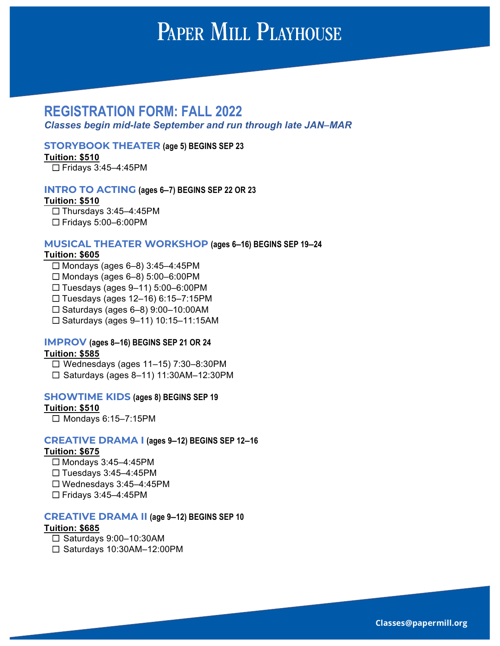# **REGISTRATION FORM: FALL 2022**

*Classes begin mid-late September and run through late JAN***–***MAR*

#### **STORYBOOK THEATER (age 5) BEGINS SEP 23**

**Tuition: \$510**

☐ Fridays 3:45–4:45PM

#### **INTRO TO ACTING (ages 6–7) BEGINS SEP 22 OR 23**

#### **Tuition: \$510**

☐ Thursdays 3:45–4:45PM ☐ Fridays 5:00–6:00PM

#### **MUSICAL THEATER WORKSHOP (ages 6–16) BEGINS SEP 19–24**

#### **Tuition: \$605**

- $\Box$  Mondays (ages 6–8) 3:45–4:45PM
- $\Box$  Mondays (ages 6–8) 5:00–6:00PM
- ☐ Tuesdays (ages 9–11) 5:00–6:00PM
- ☐ Tuesdays (ages 12–16) 6:15–7:15PM
- ☐ Saturdays (ages 6–8) 9:00–10:00AM
- ☐ Saturdays (ages 9–11) 10:15–11:15AM

#### **IMPROV (ages 8–16) BEGINS SEP 21 OR 24 Tuition: \$585**

☐ Wednesdays (ages 11–15) 7:30–8:30PM ☐ Saturdays (ages 8–11) 11:30AM–12:30PM

#### **SHOWTIME KIDS (ages 8) BEGINS SEP 19**

#### **Tuition: \$510**

☐ Mondays 6:15–7:15PM

#### **CREATIVE DRAMA I (ages 9–12) BEGINS SEP 12–16**

#### **Tuition: \$675**

- ☐ Mondays 3:45–4:45PM
- ☐ Tuesdays 3:45–4:45PM
- ☐ Wednesdays 3:45–4:45PM
- ☐ Fridays 3:45–4:45PM

#### **CREATIVE DRAMA II (age 9–12) BEGINS SEP 10**

#### **Tuition: \$685**

- ☐ Saturdays 9:00–10:30AM
- ☐ Saturdays 10:30AM–12:00PM